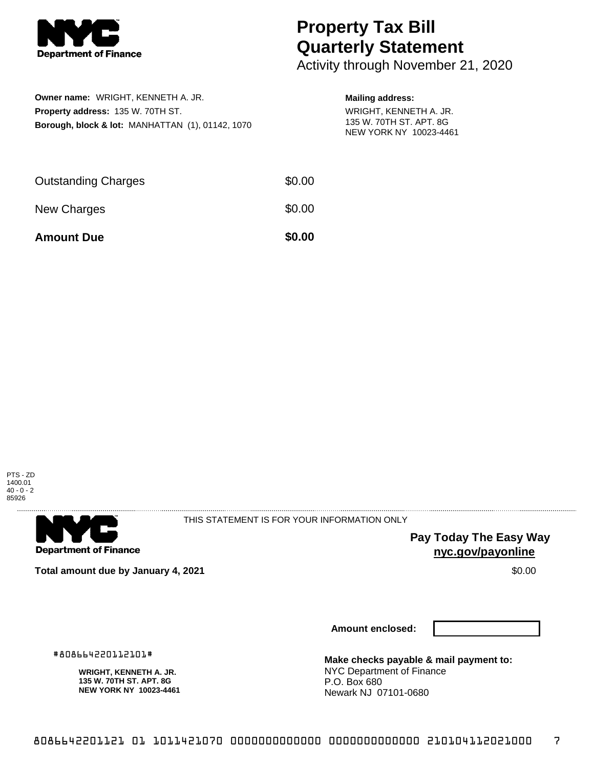

## **Property Tax Bill Quarterly Statement**

Activity through November 21, 2020

| <b>Owner name:</b> WRIGHT, KENNETH A. JR.                   | <b>Mailing address:</b>                                                     |
|-------------------------------------------------------------|-----------------------------------------------------------------------------|
| <b>Property address: 135 W. 70TH ST.</b>                    | WRIGHT, KENNETH A. JR.<br>135 W. 70TH ST. APT. 8G<br>NEW YORK NY 10023-4461 |
| <b>Borough, block &amp; lot: MANHATTAN (1), 01142, 1070</b> |                                                                             |

| <b>Amount Due</b>          | \$0.00 |
|----------------------------|--------|
| New Charges                | \$0.00 |
| <b>Outstanding Charges</b> | \$0.00 |





THIS STATEMENT IS FOR YOUR INFORMATION ONLY

**Pay Today The Easy Way nyc.gov/payonline**

**Total amount due by January 4, 2021 \$0.00** \$0.00

**Amount enclosed:**

#808664220112101#

**WRIGHT, KENNETH A. JR. 135 W. 70TH ST. APT. 8G NEW YORK NY 10023-4461** **Make checks payable & mail payment to:** NYC Department of Finance P.O. Box 680 Newark NJ 07101-0680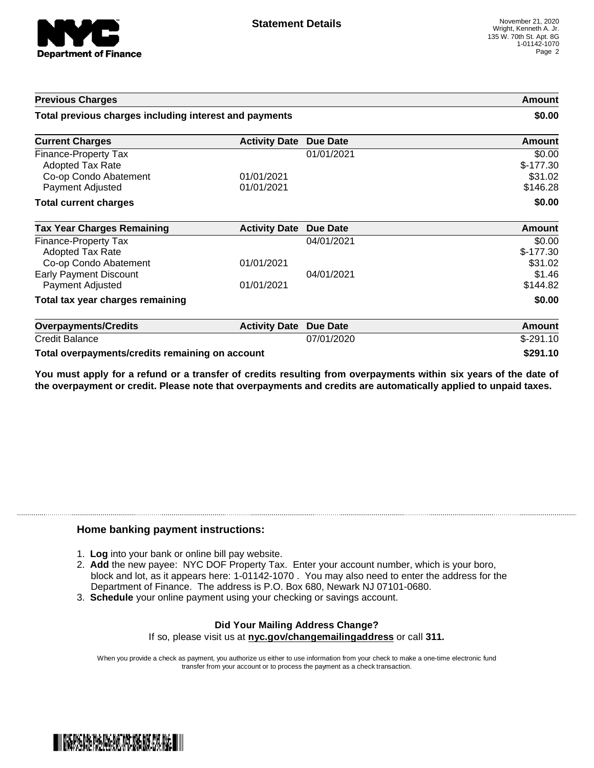

| <b>Previous Charges</b><br>Total previous charges including interest and payments                   |                          | <b>Amount</b><br>\$0.00 |                                             |
|-----------------------------------------------------------------------------------------------------|--------------------------|-------------------------|---------------------------------------------|
|                                                                                                     |                          |                         | <b>Current Charges</b>                      |
| <b>Finance-Property Tax</b><br><b>Adopted Tax Rate</b><br>Co-op Condo Abatement<br>Payment Adjusted | 01/01/2021<br>01/01/2021 | 01/01/2021              | \$0.00<br>$$-177.30$<br>\$31.02<br>\$146.28 |
| <b>Total current charges</b>                                                                        |                          |                         | \$0.00                                      |
| <b>Tax Year Charges Remaining</b>                                                                   | <b>Activity Date</b>     | <b>Due Date</b>         | <b>Amount</b>                               |
| Finance-Property Tax<br><b>Adopted Tax Rate</b><br>Co-op Condo Abatement                            | 01/01/2021               | 04/01/2021              | \$0.00<br>$$-177.30$<br>\$31.02             |
| <b>Early Payment Discount</b><br>Payment Adjusted                                                   | 01/01/2021               | 04/01/2021              | \$1.46<br>\$144.82                          |
| Total tax year charges remaining                                                                    |                          |                         | \$0.00                                      |
| <b>Overpayments/Credits</b>                                                                         | <b>Activity Date</b>     | <b>Due Date</b>         | Amount                                      |
| <b>Credit Balance</b>                                                                               |                          | 07/01/2020              | $$-291.10$                                  |
| Total overpayments/credits remaining on account                                                     |                          | \$291.10                |                                             |

You must apply for a refund or a transfer of credits resulting from overpayments within six years of the date of **the overpayment or credit. Please note that overpayments and credits are automatically applied to unpaid taxes.**

## **Home banking payment instructions:**

- 1. **Log** into your bank or online bill pay website.
- 2. **Add** the new payee: NYC DOF Property Tax. Enter your account number, which is your boro, block and lot, as it appears here: 1-01142-1070 . You may also need to enter the address for the Department of Finance. The address is P.O. Box 680, Newark NJ 07101-0680.
- 3. **Schedule** your online payment using your checking or savings account.

## **Did Your Mailing Address Change?** If so, please visit us at **nyc.gov/changemailingaddress** or call **311.**

When you provide a check as payment, you authorize us either to use information from your check to make a one-time electronic fund transfer from your account or to process the payment as a check transaction.